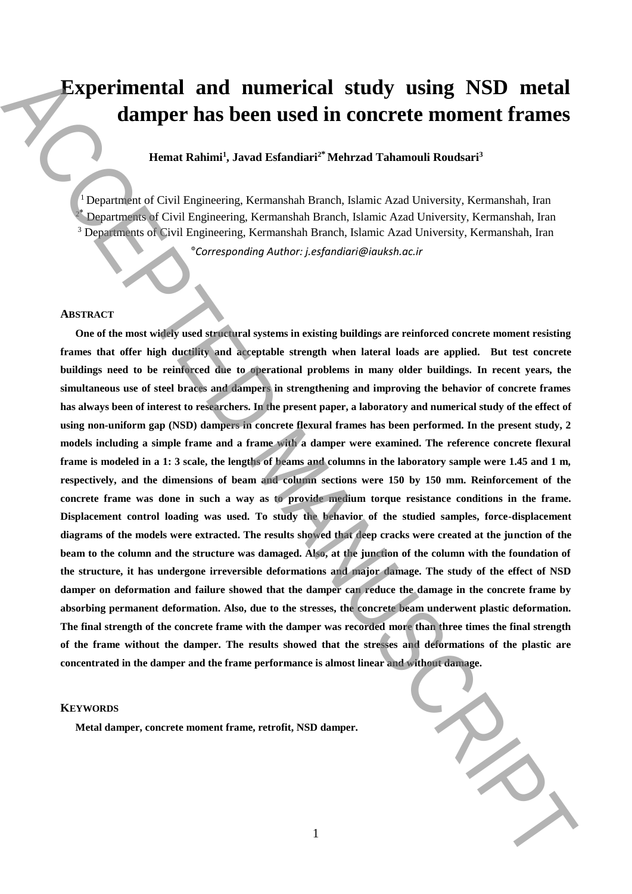# **Experimental and numerical study using NSD metal damper has been used in concrete moment frames**

## **Hemat Rahimi<sup>1</sup> , Javad Esfandiari<sup>2</sup>\* Mehrzad Tahamouli Roudsari<sup>3</sup>**

<sup>1</sup>Department of Civil Engineering, Kermanshah Branch, Islamic Azad University, Kermanshah, Iran Departments of Civil Engineering, Kermanshah Branch, Islamic Azad University, Kermanshah, Iran <sup>3</sup> Departments of Civil Engineering, Kermanshah Branch, Islamic Azad University, Kermanshah, Iran

*Corresponding Author: j.esfandiari@iauksh.ac.ir* \*

#### **ABSTRACT**

**One of the most widely used structural systems in existing buildings are reinforced concrete moment resisting frames that offer high ductility and acceptable strength when lateral loads are applied. But test concrete buildings need to be reinforced due to operational problems in many older buildings. In recent years, the simultaneous use of steel braces and dampers in strengthening and improving the behavior of concrete frames has always been of interest to researchers. In the present paper, a laboratory and numerical study of the effect of using non-uniform gap (NSD) dampers in concrete flexural frames has been performed. In the present study, 2 models including a simple frame and a frame with a damper were examined. The reference concrete flexural frame is modeled in a 1: 3 scale, the lengths of beams and columns in the laboratory sample were 1.45 and 1 m, respectively, and the dimensions of beam and column sections were 150 by 150 mm. Reinforcement of the concrete frame was done in such a way as to provide medium torque resistance conditions in the frame. Displacement control loading was used. To study the behavior of the studied samples, force-displacement diagrams of the models were extracted. The results showed that deep cracks were created at the junction of the**  beam to the column and the structure was damaged. Also, at the junction of the column with the foundation of **the structure, it has undergone irreversible deformations and major damage. The study of the effect of NSD damper on deformation and failure showed that the damper can reduce the damage in the concrete frame by absorbing permanent deformation. Also, due to the stresses, the concrete beam underwent plastic deformation. The final strength of the concrete frame with the damper was recorded more than three times the final strength of the frame without the damper. The results showed that the stresses and deformations of the plastic are concentrated in the damper and the frame performance is almost linear and without damage. Matter of the concrete moment frame is an example of the state of the state of the state of the state of the state of the state of the state of the state of the state of the state of the state of the state of the state of** 

#### **KEYWORDS**

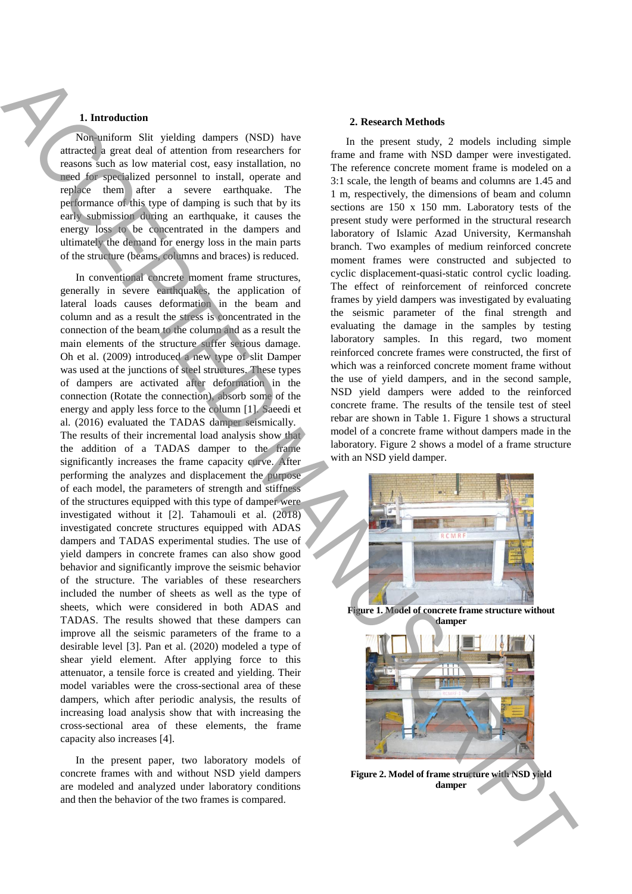### **1. Introduction**

Non-uniform Slit yielding dampers (NSD) have attracted a great deal of attention from researchers for reasons such as low material cost, easy installation, no need for specialized personnel to install, operate and replace them after a severe earthquake. The performance of this type of damping is such that by its early submission during an earthquake, it causes the energy loss to be concentrated in the dampers and ultimately the demand for energy loss in the main parts of the structure (beams, columns and braces) is reduced.

In conventional concrete moment frame structures, generally in severe earthquakes, the application of lateral loads causes deformation in the beam and column and as a result the stress is concentrated in the connection of the beam to the column and as a result the main elements of the structure suffer serious damage. Oh et al. (2009) introduced a new type of slit Damper was used at the junctions of steel structures. These types of dampers are activated after deformation in the connection (Rotate the connection), absorb some of the energy and apply less force to the column [1]. Saeedi et al. (2016) evaluated the TADAS damper seismically. The results of their incremental load analysis show that the addition of a TADAS damper to the frame significantly increases the frame capacity curve. After performing the analyzes and displacement the purpose of each model, the parameters of strength and stiffness of the structures equipped with this type of damper were investigated without it [2]. Tahamouli et al. (2018) investigated concrete structures equipped with ADAS dampers and TADAS experimental studies. The use of yield dampers in concrete frames can also show good behavior and significantly improve the seismic behavior of the structure. The variables of these researchers included the number of sheets as well as the type of sheets, which were considered in both ADAS and TADAS. The results showed that these dampers can improve all the seismic parameters of the frame to a desirable level [3]. Pan et al. (2020) modeled a type of shear yield element. After applying force to this attenuator, a tensile force is created and yielding. Their model variables were the cross-sectional area of these dampers, which after periodic analysis, the results of increasing load analysis show that with increasing the cross-sectional area of these elements, the frame capacity also increases [4]. **1.** However that the dampera CSDs have the state of the state of the state of the state of the state of the state of the state of the state of the state of the state of the state of the state of the state of the state of

In the present paper, two laboratory models of concrete frames with and without NSD yield dampers are modeled and analyzed under laboratory conditions and then the behavior of the two frames is compared.

#### **2. Research Methods**

In the present study, 2 models including simple frame and frame with NSD damper were investigated. The reference concrete moment frame is modeled on a 3:1 scale, the length of beams and columns are 1.45 and 1 m, respectively, the dimensions of beam and column sections are 150 x 150 mm. Laboratory tests of the present study were performed in the structural research laboratory of Islamic Azad University, Kermanshah branch. Two examples of medium reinforced concrete moment frames were constructed and subjected to cyclic displacement-quasi-static control cyclic loading. The effect of reinforcement of reinforced concrete frames by yield dampers was investigated by evaluating the seismic parameter of the final strength and evaluating the damage in the samples by testing laboratory samples. In this regard, two moment reinforced concrete frames were constructed, the first of which was a reinforced concrete moment frame without the use of yield dampers, and in the second sample, NSD yield dampers were added to the reinforced concrete frame. The results of the tensile test of steel rebar are shown in Table 1. Figure 1 shows a structural model of a concrete frame without dampers made in the laboratory. Figure 2 shows a model of a frame structure with an NSD yield damper.



**Figure 1. Model of concrete frame structure without damper**



**Figure 2. Model of frame structure with NSD yield**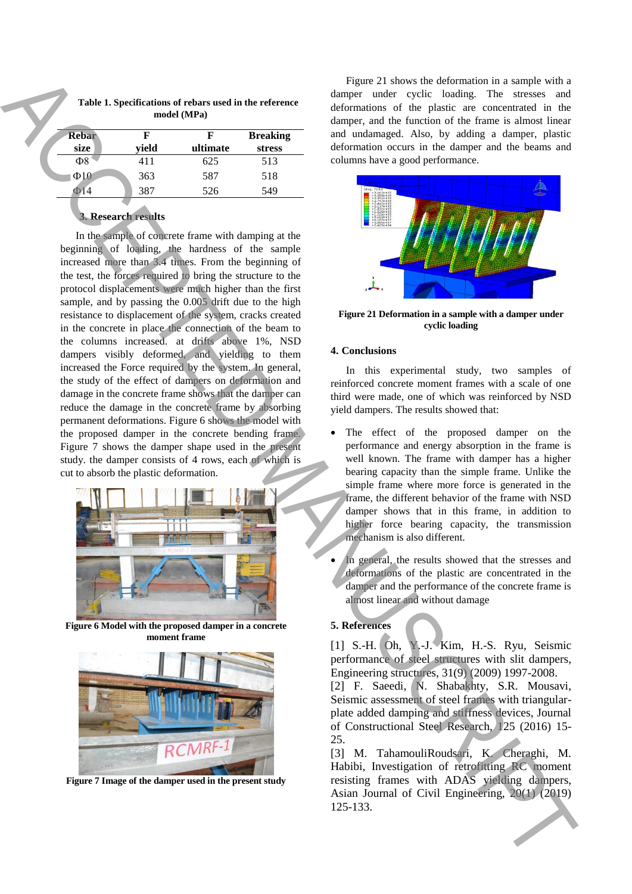| <b>Rebar</b><br>size | yield | ultimate | <b>Breaking</b><br>stress |
|----------------------|-------|----------|---------------------------|
| Ф8                   | 411   | 625      | 513                       |
| $\Phi$ 10            | 363   | 587      | 518                       |
|                      | 387   | 526      | 549                       |

**Table 1. Specifications of rebars used in the reference model (MPa)**

# **3. Research results**

In the sample of concrete frame with damping at the beginning of loading, the hardness of the sample increased more than 3.4 times. From the beginning of the test, the forces required to bring the structure to the protocol displacements were much higher than the first sample, and by passing the  $0.005$  drift due to the high resistance to displacement of the system, cracks created in the concrete in place the connection of the beam to the columns increased. at drifts above 1%, NSD dampers visibly deformed, and yielding to them increased the Force required by the system. In general, the study of the effect of dampers on deformation and damage in the concrete frame shows that the damper can reduce the damage in the concrete frame by absorbing permanent deformations. Figure 6 shows the model with the proposed damper in the concrete bending frame. Figure 7 shows the damper shape used in the present study. the damper consists of 4 rows, each of which is cut to absorb the plastic deformation. 125-133. Accepted to the model of the model of the model of the model of the model of the model of the model of the model of the model of the model of the model of the model of the model of the model of the model of the m



**Figure 6 Model with the proposed damper in a concrete moment frame**



**Figure 7 Image of the damper used in the present study**

Figure 21 shows the deformation in a sample with a damper under cyclic loading. The stresses and deformations of the plastic are concentrated in the damper, and the function of the frame is almost linear and undamaged. Also, by adding a damper, plastic deformation occurs in the damper and the beams and columns have a good performance.



**Figure 21 Deformation in a sample with a damper under cyclic loading**

#### **4. Conclusions**

In this experimental study, two samples of reinforced concrete moment frames with a scale of one third were made, one of which was reinforced by NSD yield dampers. The results showed that:

- The effect of the proposed damper on the performance and energy absorption in the frame is well known. The frame with damper has a higher bearing capacity than the simple frame. Unlike the simple frame where more force is generated in the frame, the different behavior of the frame with NSD damper shows that in this frame, in addition to higher force bearing capacity, the transmission mechanism is also different.
- In general, the results showed that the stresses and deformations of the plastic are concentrated in the damper and the performance of the concrete frame is almost linear and without damage

## **5. References**

[1] S.-H. Oh, Y.-J. Kim, H.-S. Ryu, Seismic performance of steel structures with slit dampers, Engineering structures, 31(9) (2009) 1997-2008.

[2] F. Saeedi, N. Shabakhty, S.R. Mousavi, Seismic assessment of steel frames with triangularplate added damping and stiffness devices, Journal of Constructional Steel Research, 125 (2016) 15- 25.

[3] M. TahamouliRoudsari, K. Cheraghi, M. Habibi, Investigation of retrofitting RC moment resisting frames with ADAS yielding dampers, Asian Journal of Civil Engineering, 20(1) (2019)